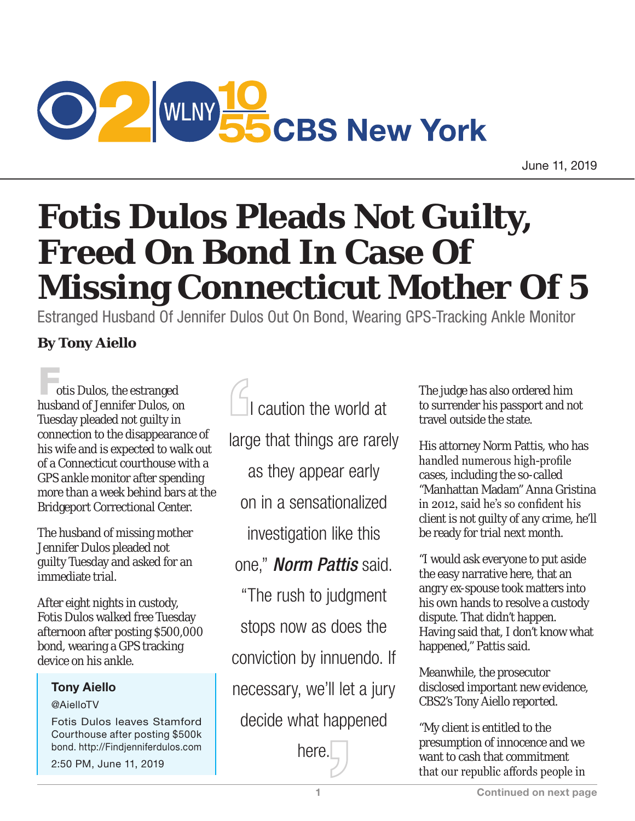

June 11, 2019

# **Fotis Dulos Pleads Not Guilty, Freed On Bond In Case Of Missing Connecticut Mother Of 5**

Estranged Husband Of Jennifer Dulos Out On Bond, Wearing GPS-Tracking Ankle Monitor

## **By Tony Aiello**

otis Dulos, the estranged husband of Jennifer Dulos, on Tuesday pleaded not guilty in connection to the disappearance of his wife and is expected to walk out of a Connecticut courthouse with a GPS ankle monitor after spending more than a week behind bars at the Bridgeport Correctional Center.

The husband of missing mother Jennifer Dulos pleaded not guilty Tuesday and asked for an immediate trial.

After eight nights in custody, Fotis Dulos walked free Tuesday afternoon after posting \$500,000 bond, wearing a GPS tracking device on his ankle.

### Tony Aiello

#### @AielloTV

Fotis Dulos leaves Stamford Courthouse after posting \$500k bond. http://Findjenniferdulos.com

2:50 PM, June 11, 2019

 I caution the world at large that things are rarely as they appear early on in a sensationalized investigation like this one," *Norm Pattis* said. "The rush to judgment stops now as does the

conviction by innuendo. If

necessary, we'll let a jury

decide what happened

here.

The judge has also ordered him to surrender his passport and not travel outside the state.

His attorney Norm Pattis, who has handled numerous high-profile cases, including the so-called "Manhattan Madam" Anna Gristina in 2012, said he's so confident his client is not guilty of any crime, he'll be ready for trial next month.

"I would ask everyone to put aside the easy narrative here, that an angry ex-spouse took matters into his own hands to resolve a custody dispute. That didn't happen. Having said that, I don't know what happened," Pattis said.

Meanwhile, the prosecutor disclosed important new evidence, CBS2's Tony Aiello reported.

"My client is entitled to the presumption of innocence and we want to cash that commitment that our republic affords people in